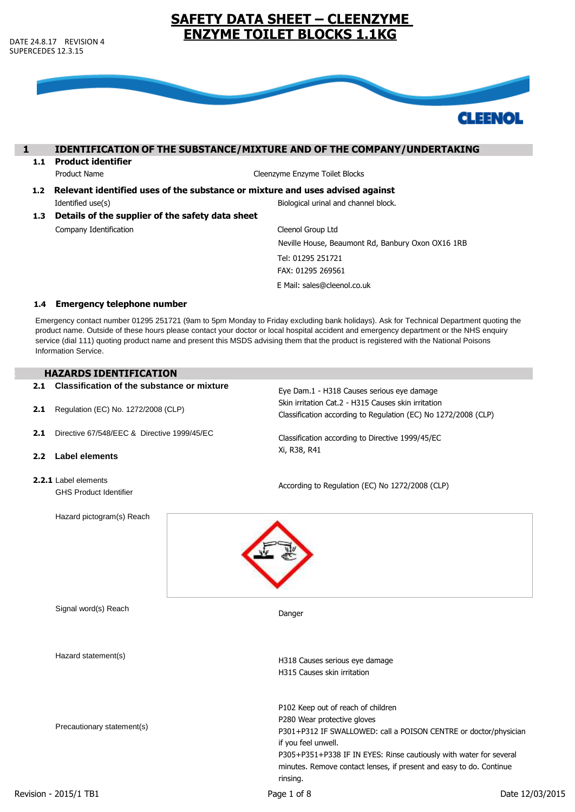

# **1 IDENTIFICATION OF THE SUBSTANCE/MIXTURE AND OF THE COMPANY/UNDERTAKING**

**1.1 Product identifier**

Product Name Cleenzyme Enzyme Toilet Blocks

- **1.2 Relevant identified uses of the substance or mixture and uses advised against** Identified use(s) Biological urinal and channel block.
- **1.3 Details of the supplier of the safety data sheet** Company Identification

Cleenol Group Ltd Neville House, Beaumont Rd, Banbury Oxon OX16 1RB Tel: 01295 251721

FAX: 01295 269561

E Mail: sales@cleenol.co.uk

### **1.4 Emergency telephone number**

Emergency contact number 01295 251721 (9am to 5pm Monday to Friday excluding bank holidays). Ask for Technical Department quoting the product name. Outside of these hours please contact your doctor or local hospital accident and emergency department or the NHS enquiry service (dial 111) quoting product name and present this MSDS advising them that the product is registered with the National Poisons Information Service.

### **2 HAZARDS IDENTIFICATION**

| 2.1 | Classification of the substance or mixture            | Eye Dam.1 - H318 Causes serious eye damage<br>Skin irritation Cat.2 - H315 Causes skin irritation<br>Classification according to Regulation (EC) No 1272/2008 (CLP)<br>Classification according to Directive 1999/45/EC<br>Xi, R38, R41                                                                   |  |  |
|-----|-------------------------------------------------------|-----------------------------------------------------------------------------------------------------------------------------------------------------------------------------------------------------------------------------------------------------------------------------------------------------------|--|--|
| 2.1 | Regulation (EC) No. 1272/2008 (CLP)                   |                                                                                                                                                                                                                                                                                                           |  |  |
| 2.1 | Directive 67/548/EEC & Directive 1999/45/EC           |                                                                                                                                                                                                                                                                                                           |  |  |
| 2.2 | <b>Label elements</b>                                 |                                                                                                                                                                                                                                                                                                           |  |  |
|     | 2.2.1 Label elements<br><b>GHS Product Identifier</b> | According to Regulation (EC) No 1272/2008 (CLP)                                                                                                                                                                                                                                                           |  |  |
|     | Hazard pictogram(s) Reach                             |                                                                                                                                                                                                                                                                                                           |  |  |
|     |                                                       |                                                                                                                                                                                                                                                                                                           |  |  |
|     | Signal word(s) Reach                                  | Danger                                                                                                                                                                                                                                                                                                    |  |  |
|     | Hazard statement(s)                                   | H318 Causes serious eye damage<br>H315 Causes skin irritation                                                                                                                                                                                                                                             |  |  |
|     | Precautionary statement(s)                            | P102 Keep out of reach of children<br>P280 Wear protective gloves<br>P301+P312 IF SWALLOWED: call a POISON CENTRE or doctor/physician<br>if you feel unwell.<br>P305+P351+P338 IF IN EYES: Rinse cautiously with water for several<br>minutes. Remove contact lenses, if present and easy to do. Continue |  |  |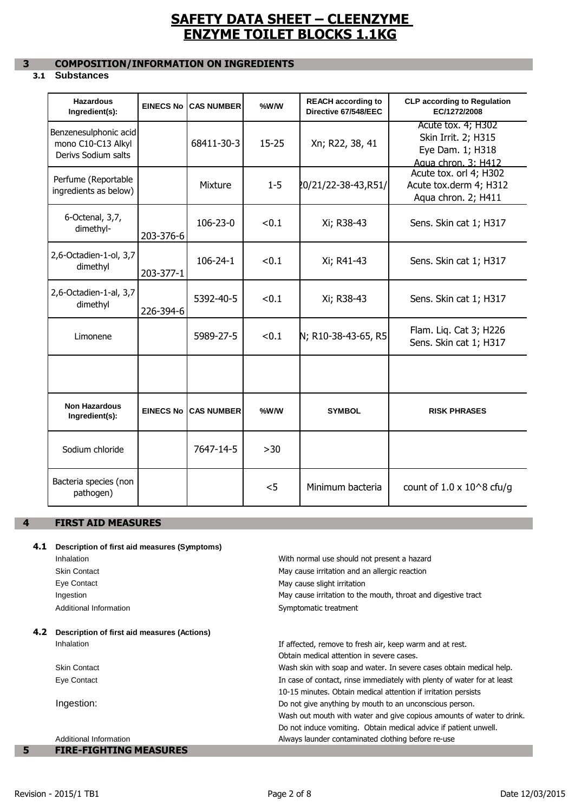# **3 COMPOSITION/INFORMATION ON INGREDIENTS**

# **3.1 Substances**

| <b>Hazardous</b><br>Ingredient(s):                                 | <b>EINECS No</b> | <b>CAS NUMBER</b>            | %W/W      | <b>REACH according to</b><br>Directive 67/548/EEC | <b>CLP according to Regulation</b><br>EC/1272/2008                                   |
|--------------------------------------------------------------------|------------------|------------------------------|-----------|---------------------------------------------------|--------------------------------------------------------------------------------------|
| Benzenesulphonic acid<br>mono C10-C13 Alkyl<br>Derivs Sodium salts |                  | 68411-30-3                   | $15 - 25$ | Xn; R22, 38, 41                                   | Acute tox. 4; H302<br>Skin Irrit. 2; H315<br>Eye Dam. 1; H318<br>Agua chron. 3: H412 |
| Perfume (Reportable<br>ingredients as below)                       |                  | Mixture                      | $1 - 5$   | 20/21/22-38-43,R51/                               | Acute tox. orl 4; H302<br>Acute tox.derm 4; H312<br>Aqua chron. 2; H411              |
| 6-Octenal, 3,7,<br>dimethyl-                                       | 203-376-6        | $106 - 23 - 0$               | < 0.1     | Xi; R38-43                                        | Sens. Skin cat 1; H317                                                               |
| 2,6-Octadien-1-ol, 3,7<br>dimethyl                                 | 203-377-1        | $106 - 24 - 1$               | < 0.1     | Xi; R41-43                                        | Sens. Skin cat 1; H317                                                               |
| 2,6-Octadien-1-al, 3,7<br>dimethyl                                 | 226-394-6        | 5392-40-5                    | < 0.1     | Xi; R38-43                                        | Sens. Skin cat 1; H317                                                               |
| Limonene                                                           |                  | 5989-27-5                    | < 0.1     | N; R10-38-43-65, R5                               | Flam. Liq. Cat 3; H226<br>Sens. Skin cat 1; H317                                     |
|                                                                    |                  |                              |           |                                                   |                                                                                      |
| <b>Non Hazardous</b><br>Ingredient(s):                             |                  | <b>EINECS No ICAS NUMBER</b> | %W/W      | <b>SYMBOL</b>                                     | <b>RISK PHRASES</b>                                                                  |
| Sodium chloride                                                    |                  | 7647-14-5                    | $>30$     |                                                   |                                                                                      |
| Bacteria species (non<br>pathogen)                                 |                  |                              | < 5       | Minimum bacteria                                  | count of $1.0 \times 10^{8}$ cfu/g                                                   |

## **4 FIRST AID MEASURES**

## **4.1 Description of first aid measures (Symptoms)**

|     | Inhalation                                  | With normal use should not present a hazard                             |
|-----|---------------------------------------------|-------------------------------------------------------------------------|
|     | <b>Skin Contact</b>                         | May cause irritation and an allergic reaction                           |
|     | Eye Contact                                 | May cause slight irritation                                             |
|     | Ingestion                                   | May cause irritation to the mouth, throat and digestive tract           |
|     | Additional Information                      | Symptomatic treatment                                                   |
| 4.2 | Description of first aid measures (Actions) |                                                                         |
|     | Inhalation                                  | If affected, remove to fresh air, keep warm and at rest.                |
|     |                                             | Obtain medical attention in severe cases.                               |
|     | <b>Skin Contact</b>                         | Wash skin with soap and water. In severe cases obtain medical help.     |
|     | Eye Contact                                 | In case of contact, rinse immediately with plenty of water for at least |
|     |                                             | 10-15 minutes. Obtain medical attention if irritation persists          |
|     | Ingestion:                                  | Do not give anything by mouth to an unconscious person.                 |
|     |                                             | Wash out mouth with water and give copious amounts of water to drink.   |
|     |                                             | Do not induce vomiting. Obtain medical advice if patient unwell.        |
|     | Additional Information                      | Always launder contaminated clothing before re-use                      |
| 5   | <b>FIRE-FIGHTING MEASURES</b>               |                                                                         |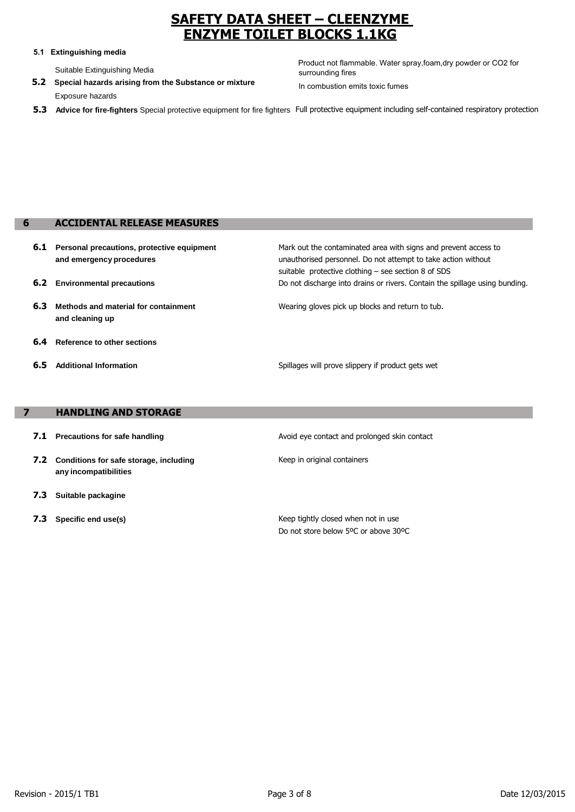### **5.1 Extinguishing media**

Suitable Extinguishing Media

Exposure hazards **5.2 Special hazards arising from the Substance or mixture** Product not flammable. Water spray,foam,dry powder or CO2 for surrounding fires In combustion emits toxic fumes

**5.3 Advice for fire-fighters** Special protective equipment for fire fighters Full protective equipment including self-contained respiratory protection

## **6 ACCIDENTAL RELEASE MEASURES**

- **6.1 Personal precautions, protective equipment and emergency procedures**
- **6.2 Environmental precautions**
- **6.3 Methods and material for containment and cleaning up**
- **6.4 Reference to other sections**
- **6.5 Additional Information**

Mark out the contaminated area with signs and prevent access to unauthorised personnel. Do not attempt to take action without suitable protective clothing – see section 8 of SDS Do not discharge into drains or rivers. Contain the spillage using bunding.

Wearing gloves pick up blocks and return to tub.

Spillages will prove slippery if product gets wet

### **7 HANDLING AND STORAGE**

- **7.1 Precautions for safe handling**
- **7.2 Conditions for safe storage, including any incompatibilities**
- **7.3 Suitable packagine**
- **7.3 Specific end use(s)**

Avoid eye contact and prolonged skin contact

Keep in original containers

Keep tightly closed when not in use Do not store below 5ºC or above 30ºC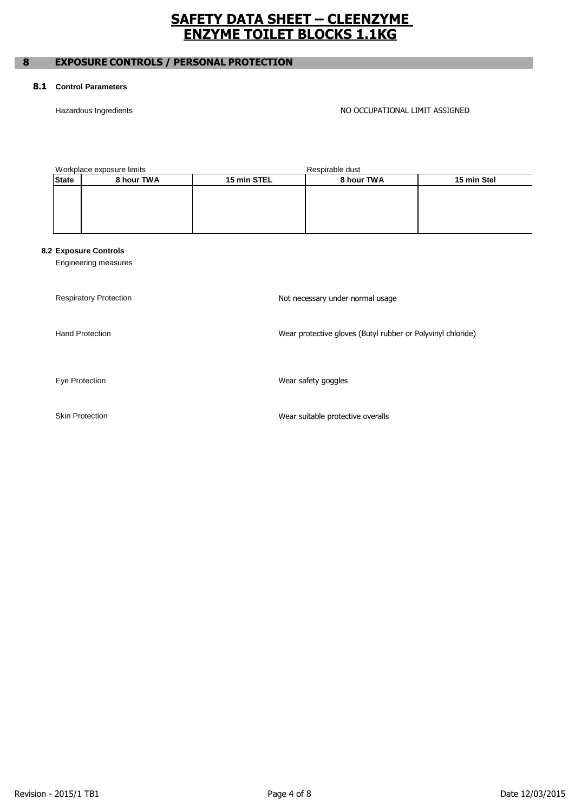# **8 EXPOSURE CONTROLS / PERSONAL PROTECTION**

### **8.1 Control Parameters**

### Hazardous Ingredients **NO OCCUPATIONAL LIMIT ASSIGNED**

| Workplace exposure limits |            |             | Respirable dust |             |
|---------------------------|------------|-------------|-----------------|-------------|
| <b>State</b>              | 8 hour TWA | 15 min STEL | 8 hour TWA      | 15 min Stel |
|                           |            |             |                 |             |
|                           |            |             |                 |             |
|                           |            |             |                 |             |
|                           |            |             |                 |             |

## **8.2 Exposure Controls**

Engineering measures

| <b>Respiratory Protection</b> | Not necessary under normal usage                            |
|-------------------------------|-------------------------------------------------------------|
| <b>Hand Protection</b>        | Wear protective gloves (Butyl rubber or Polyvinyl chloride) |
| Eye Protection                | Wear safety goggles                                         |
| <b>Skin Protection</b>        | Wear suitable protective overalls                           |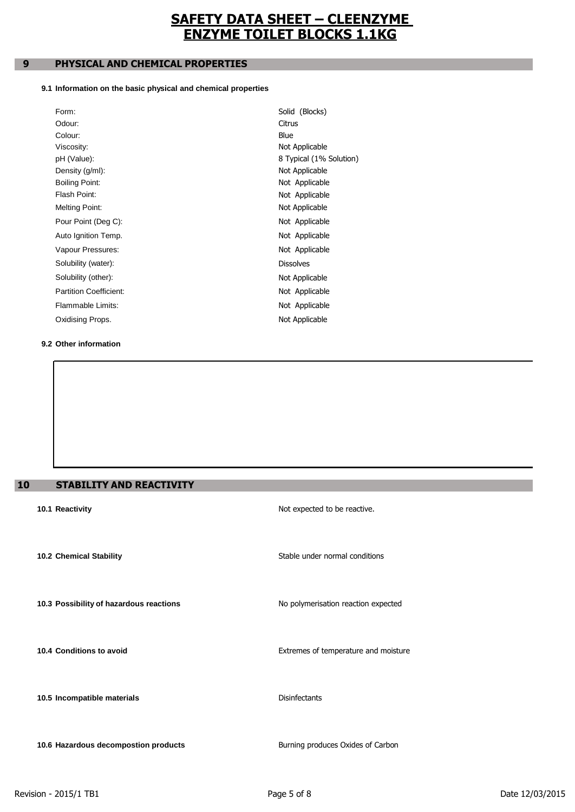# **9 PHYSICAL AND CHEMICAL PROPERTIES**

### **9.1 Information on the basic physical and chemical properties**

| Form:                         | Solid (Blocks)          |
|-------------------------------|-------------------------|
| Odour:                        | Citrus                  |
| Colour:                       | Blue                    |
| Viscosity:                    | Not Applicable          |
| pH (Value):                   | 8 Typical (1% Solution) |
| Density (g/ml):               | Not Applicable          |
| Boiling Point:                | Not Applicable          |
| Flash Point:                  | Not Applicable          |
| <b>Melting Point:</b>         | Not Applicable          |
| Pour Point (Deg C):           | Not Applicable          |
| Auto Ignition Temp.           | Not Applicable          |
| Vapour Pressures:             | Not Applicable          |
| Solubility (water):           | <b>Dissolves</b>        |
| Solubility (other):           | Not Applicable          |
| <b>Partition Coefficient:</b> | Not Applicable          |
| Flammable Limits:             | Not Applicable          |
| Oxidising Props.              | Not Applicable          |
|                               |                         |

### **9.2 Other information**

# **10 STABILITY AND REACTIVITY**

| ----------                              |                                      |
|-----------------------------------------|--------------------------------------|
| 10.1 Reactivity                         | Not expected to be reactive.         |
|                                         |                                      |
| 10.2 Chemical Stability                 | Stable under normal conditions       |
|                                         |                                      |
|                                         |                                      |
| 10.3 Possibility of hazardous reactions | No polymerisation reaction expected  |
|                                         |                                      |
| 10.4 Conditions to avoid                | Extremes of temperature and moisture |
|                                         |                                      |
|                                         |                                      |
| 10.5 Incompatible materials             | <b>Disinfectants</b>                 |
|                                         |                                      |
| 10.6 Hazardous decompostion products    | Burning produces Oxides of Carbon    |
|                                         |                                      |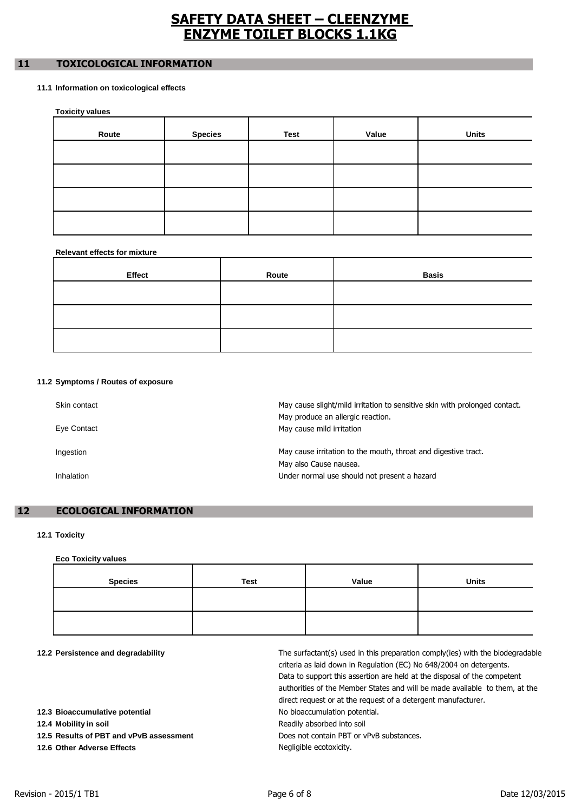# **11 TOXICOLOGICAL INFORMATION**

### **11.1 Information on toxicological effects**

**Toxicity values**

| -     |                |      |       |              |
|-------|----------------|------|-------|--------------|
| Route | <b>Species</b> | Test | Value | <b>Units</b> |
|       |                |      |       |              |
|       |                |      |       |              |
|       |                |      |       |              |
|       |                |      |       |              |

### **Relevant effects for mixture**

| Effect | Route | <b>Basis</b> |
|--------|-------|--------------|
|        |       |              |
|        |       |              |
|        |       |              |

### **11.2 Symptoms / Routes of exposure**

| Skin contact<br>Eye Contact | May cause slight/mild irritation to sensitive skin with prolonged contact.<br>May produce an allergic reaction.<br>May cause mild irritation |
|-----------------------------|----------------------------------------------------------------------------------------------------------------------------------------------|
| Ingestion                   | May cause irritation to the mouth, throat and digestive tract.<br>May also Cause nausea.                                                     |
| Inhalation                  | Under normal use should not present a hazard                                                                                                 |

## **12 ECOLOGICAL INFORMATION**

### **12.1 Toxicity**

**Eco Toxicity values**

| <b>Species</b> | <b>Test</b> | Value | <b>Units</b> |
|----------------|-------------|-------|--------------|
|                |             |       |              |
|                |             |       |              |
|                |             |       |              |

# **12.2 Persistence and degradability**

| 12.2 Persistence and degradability      | The surfactant(s) used in this preparation comply(ies) with the biodegradable<br>criteria as laid down in Regulation (EC) No 648/2004 on detergents.<br>Data to support this assertion are held at the disposal of the competent<br>authorities of the Member States and will be made available to them, at the<br>direct request or at the request of a detergent manufacturer. |
|-----------------------------------------|----------------------------------------------------------------------------------------------------------------------------------------------------------------------------------------------------------------------------------------------------------------------------------------------------------------------------------------------------------------------------------|
| 12.3 Bioaccumulative potential          | No bioaccumulation potential.                                                                                                                                                                                                                                                                                                                                                    |
| 12.4 Mobility in soil                   | Readily absorbed into soil                                                                                                                                                                                                                                                                                                                                                       |
| 12.5 Results of PBT and vPvB assessment | Does not contain PBT or yPvB substances.                                                                                                                                                                                                                                                                                                                                         |
| 12.6 Other Adverse Effects              | Negligible ecotoxicity.                                                                                                                                                                                                                                                                                                                                                          |
|                                         |                                                                                                                                                                                                                                                                                                                                                                                  |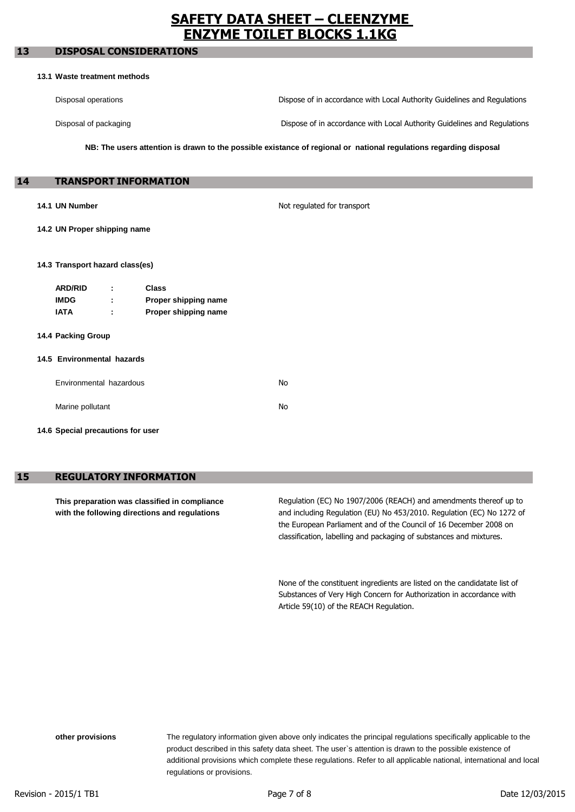## ACCORDING TO EC-REGULATIONS 1907/2006 (REACH) 1272/2008 (CLP) **13 DISPOSAL CONSIDERATIONS**

#### **13.1 Waste treatment methods**

Disposal operations Dispose of in accordance with Local Authority Guidelines and Regulations

Disposal of packaging

Dispose of in accordance with Local Authority Guidelines and Regulations

NB: The users attention is drawn to the possible existance of regional or national regulations regarding disposal

#### **14 TRANSPORT INFORMATION**

#### **14.1 UN Number**

Not regulated for transport

**14.2 UN Proper shipping name**

#### **14.3 Transport hazard class(es)**

| <b>ARD/RID</b> |        | Class                |
|----------------|--------|----------------------|
| <b>IMDG</b>    |        | Proper shipping name |
| IATA           | ٠<br>٠ | Proper shipping name |

**14.4 Packing Group**

#### **14.5 Environmental hazards**

| Environmental hazardous | N٥  |
|-------------------------|-----|
| Marine pollutant        | No. |

**14.6 Special precautions for user**

## **15 REGULATORY INFORMATION**

**This preparation was classified in compliance with the following directions and regulations**

Regulation (EC) No 1907/2006 (REACH) and amendments thereof up to and including Regulation (EU) No 453/2010. Regulation (EC) No 1272 of the European Parliament and of the Council of 16 December 2008 on classification, labelling and packaging of substances and mixtures.

None of the constituent ingredients are listed on the candidatate list of Substances of Very High Concern for Authorization in accordance with Article 59(10) of the REACH Regulation.

**other provisions** The regulatory information given above only indicates the principal regulations specifically applicable to the product described in this safety data sheet. The user`s attention is drawn to the possible existence of regulations or provisions. additional provisions which complete these regulations. Refer to all applicable national, international and local